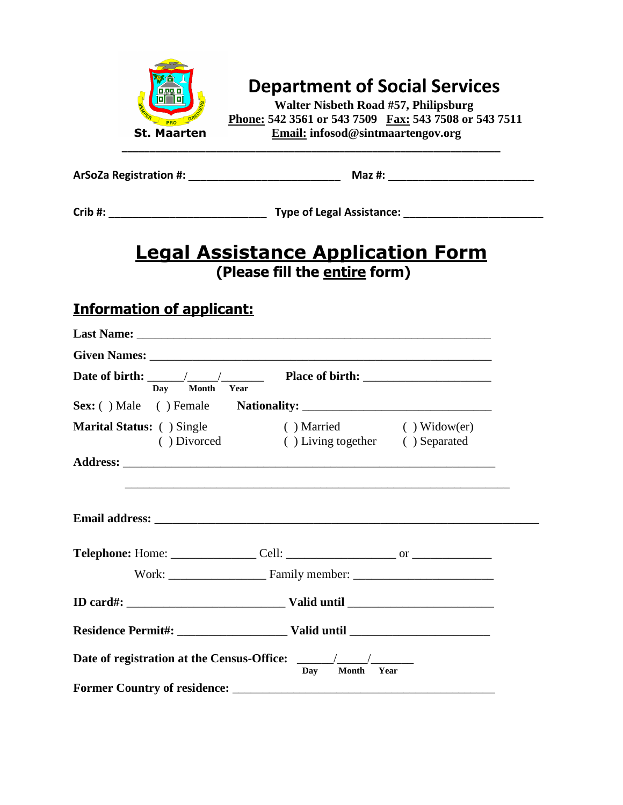

# **Department of Social Services**

 **Walter Nisbeth Road #57, Philipsburg Phone: 542 3561 or 543 7509 Fax: 543 7508 or 543 7511 St. Maarten Email: infosod@sintmaartengov.org**

| ArSoZa Registration #: | Maz #: |
|------------------------|--------|
|------------------------|--------|

| Crib #: | <b>Type of Legal Assistance:</b> |
|---------|----------------------------------|
|---------|----------------------------------|

### **Legal Assistance Application Form (Please fill the entire form)**

### **Information of applicant:**

| Day Month Year | Date of birth: $\frac{1}{\sqrt{1-\frac{1}{1-\frac{1}{1-\frac{1}{1-\frac{1}{1-\frac{1}{1-\frac{1}{1-\frac{1}{1-\frac{1}{1-\frac{1}{1-\frac{1}{1-\frac{1}{1-\frac{1}{1-\frac{1}{1-\frac{1}{1-\frac{1}{1-\frac{1}{1-\frac{1}{1-\frac{1}{1-\frac{1}{1-\frac{1}{1-\frac{1}{1-\frac{1}{1-\frac{1}{1-\frac{1}{1-\frac{1}{1-\frac{1}{1-\frac{1}{1-\frac{1}{1-\frac{1}{1-\frac{1}{1-\frac{1}{1-\frac{1}{1-\frac{1$ |            |
|----------------|-----------------------------------------------------------------------------------------------------------------------------------------------------------------------------------------------------------------------------------------------------------------------------------------------------------------------------------------------------------------------------------------------------------|------------|
|                |                                                                                                                                                                                                                                                                                                                                                                                                           |            |
|                | Marital Status: ( ) Single ( ) Married ( ) Widow(er)<br>() Divorced () Living together () Separated                                                                                                                                                                                                                                                                                                       |            |
|                |                                                                                                                                                                                                                                                                                                                                                                                                           |            |
|                |                                                                                                                                                                                                                                                                                                                                                                                                           |            |
|                |                                                                                                                                                                                                                                                                                                                                                                                                           |            |
|                |                                                                                                                                                                                                                                                                                                                                                                                                           |            |
|                |                                                                                                                                                                                                                                                                                                                                                                                                           |            |
|                | Day                                                                                                                                                                                                                                                                                                                                                                                                       | Month Year |
|                |                                                                                                                                                                                                                                                                                                                                                                                                           |            |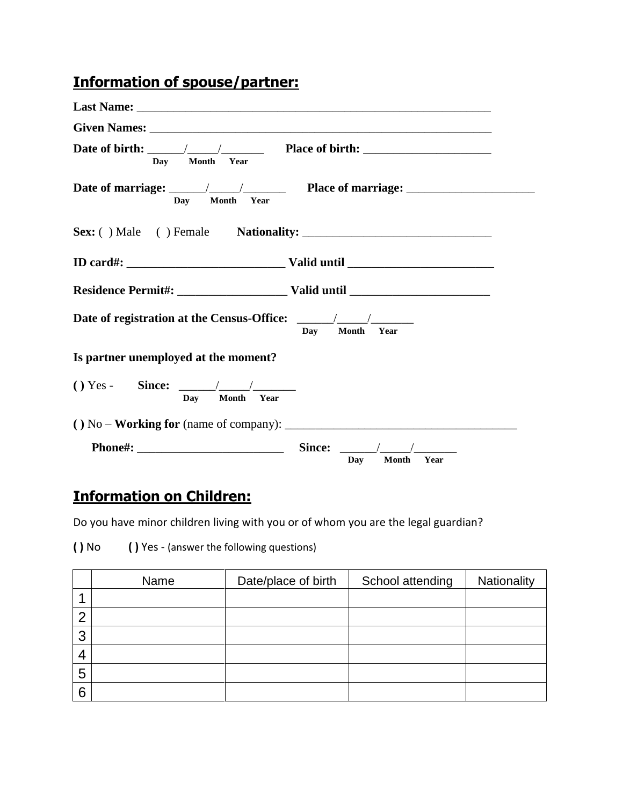## **Information of spouse/partner:**

| Day Month Year                                   | Date of birth: $\frac{1}{\sqrt{1-\frac{1}{1-\frac{1}{1-\frac{1}{1-\frac{1}{1-\frac{1}{1-\frac{1}{1-\frac{1}{1-\frac{1}{1-\frac{1}{1-\frac{1}{1-\frac{1}{1-\frac{1}{1-\frac{1}{1-\frac{1}{1-\frac{1}{1-\frac{1}{1-\frac{1}{1-\frac{1}{1-\frac{1}{1-\frac{1}{1-\frac{1}{1-\frac{1}{1-\frac{1}{1-\frac{1}{1-\frac{1}{1-\frac{1}{1-\frac{1}{1-\frac{1}{1-\frac{1}{1-\frac{1}{1-\frac{1}{1-\frac{1}{1-\frac{1$ |
|--------------------------------------------------|-----------------------------------------------------------------------------------------------------------------------------------------------------------------------------------------------------------------------------------------------------------------------------------------------------------------------------------------------------------------------------------------------------------|
| Day Month Year                                   |                                                                                                                                                                                                                                                                                                                                                                                                           |
|                                                  |                                                                                                                                                                                                                                                                                                                                                                                                           |
|                                                  |                                                                                                                                                                                                                                                                                                                                                                                                           |
|                                                  |                                                                                                                                                                                                                                                                                                                                                                                                           |
|                                                  | Dav Month<br>Year                                                                                                                                                                                                                                                                                                                                                                                         |
| Is partner unemployed at the moment?             |                                                                                                                                                                                                                                                                                                                                                                                                           |
| $() Yes - Since: \_\_\_\_\_\_$<br>Day Month Year |                                                                                                                                                                                                                                                                                                                                                                                                           |
|                                                  |                                                                                                                                                                                                                                                                                                                                                                                                           |
|                                                  | Since:<br>Dav<br>Month<br>Year                                                                                                                                                                                                                                                                                                                                                                            |

## **Information on Children:**

Do you have minor children living with you or of whom you are the legal guardian?

| $()$ No |  | () Yes - (answer the following questions) |  |
|---------|--|-------------------------------------------|--|
|---------|--|-------------------------------------------|--|

|   | Name | Date/place of birth | School attending | Nationality |
|---|------|---------------------|------------------|-------------|
|   |      |                     |                  |             |
| ◠ |      |                     |                  |             |
| 3 |      |                     |                  |             |
| 4 |      |                     |                  |             |
| 5 |      |                     |                  |             |
| 6 |      |                     |                  |             |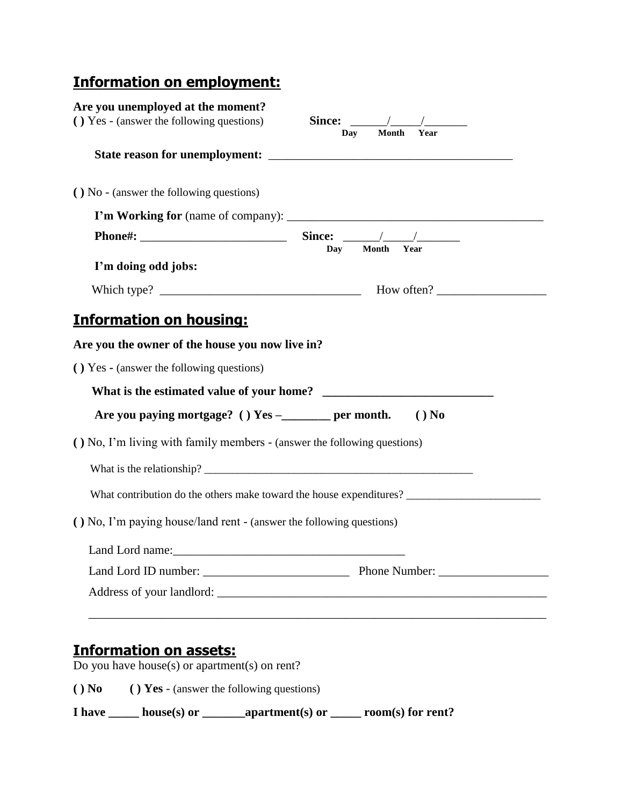## **Information on employment:**

| () Yes - (answer the following questions)                                                                                                                            | <b>Month</b><br>Year<br>Day                                         |
|----------------------------------------------------------------------------------------------------------------------------------------------------------------------|---------------------------------------------------------------------|
|                                                                                                                                                                      |                                                                     |
| () No - (answer the following questions)                                                                                                                             |                                                                     |
|                                                                                                                                                                      |                                                                     |
|                                                                                                                                                                      |                                                                     |
| I'm doing odd jobs:                                                                                                                                                  | Year<br><b>Month</b><br>Day                                         |
|                                                                                                                                                                      |                                                                     |
| <b>Information on housing:</b>                                                                                                                                       |                                                                     |
| Are you the owner of the house you now live in?                                                                                                                      |                                                                     |
| () Yes - (answer the following questions)                                                                                                                            |                                                                     |
|                                                                                                                                                                      |                                                                     |
|                                                                                                                                                                      |                                                                     |
| Are you paying mortgage? () $Yes$ -_________ per month.                                                                                                              | $()$ No                                                             |
|                                                                                                                                                                      |                                                                     |
|                                                                                                                                                                      |                                                                     |
|                                                                                                                                                                      | What contribution do the others make toward the house expenditures? |
|                                                                                                                                                                      |                                                                     |
|                                                                                                                                                                      |                                                                     |
| (b) No, I'm living with family members - (answer the following questions)<br>() No, I'm paying house/land rent - (answer the following questions)<br>Land Lord name: |                                                                     |

#### **Information on assets:** Do you have house(s) or apartment(s) on rent?

**( ) No ( ) Yes** - (answer the following questions)

**I have \_\_\_\_\_ house(s) or \_\_\_\_\_\_\_apartment(s) or \_\_\_\_\_ room(s) for rent?**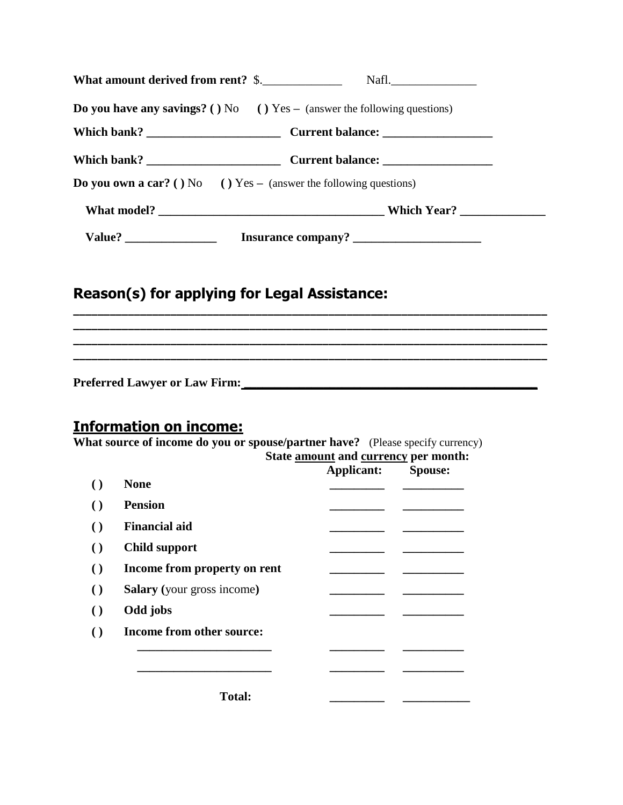| What amount derived from rent? \$.<br>Nafl.                                                                               |
|---------------------------------------------------------------------------------------------------------------------------|
| <b>Do you have any savings?</b> ( $\overline{) \text{No}}$ ( $\overline{) \text{Yes}}$ – (answer the following questions) |
|                                                                                                                           |
|                                                                                                                           |
| <b>Do you own a car?</b> () No () Yes – (answer the following questions)                                                  |
|                                                                                                                           |
| Insurance company?                                                                                                        |

**\_\_\_\_\_\_\_\_\_\_\_\_\_\_\_\_\_\_\_\_\_\_\_\_\_\_\_\_\_\_\_\_\_\_\_\_\_\_\_\_\_\_\_\_\_\_\_\_\_\_\_\_\_\_\_\_\_\_\_\_\_\_\_\_\_\_\_\_\_\_\_\_\_\_\_\_\_\_ \_\_\_\_\_\_\_\_\_\_\_\_\_\_\_\_\_\_\_\_\_\_\_\_\_\_\_\_\_\_\_\_\_\_\_\_\_\_\_\_\_\_\_\_\_\_\_\_\_\_\_\_\_\_\_\_\_\_\_\_\_\_\_\_\_\_\_\_\_\_\_\_\_\_\_\_\_\_ \_\_\_\_\_\_\_\_\_\_\_\_\_\_\_\_\_\_\_\_\_\_\_\_\_\_\_\_\_\_\_\_\_\_\_\_\_\_\_\_\_\_\_\_\_\_\_\_\_\_\_\_\_\_\_\_\_\_\_\_\_\_\_\_\_\_\_\_\_\_\_\_\_\_\_\_\_\_ \_\_\_\_\_\_\_\_\_\_\_\_\_\_\_\_\_\_\_\_\_\_\_\_\_\_\_\_\_\_\_\_\_\_\_\_\_\_\_\_\_\_\_\_\_\_\_\_\_\_\_\_\_\_\_\_\_\_\_\_\_\_\_\_\_\_\_\_\_\_\_\_\_\_\_\_\_\_**

### **Reason(s) for applying for Legal Assistance:**

**Preferred Lawyer or Law Firm: \_\_\_\_\_\_\_\_\_\_\_\_\_\_\_\_\_\_\_\_\_\_\_\_\_\_\_\_\_\_\_\_\_\_\_\_\_\_\_\_\_\_\_\_\_\_\_\_** 

#### **Information on income:**

**What source of income do you or spouse/partner have?** (Please specify currency)

|                                   | Applicant: | <b>Spouse:</b> |
|-----------------------------------|------------|----------------|
| <b>None</b>                       |            |                |
| <b>Pension</b>                    |            |                |
| <b>Financial aid</b>              |            |                |
| <b>Child support</b>              |            |                |
| Income from property on rent      |            |                |
| <b>Salary</b> (your gross income) |            |                |
| Odd jobs                          |            |                |
| Income from other source:         |            |                |
|                                   |            |                |
|                                   |            |                |
| <b>Total:</b>                     |            |                |